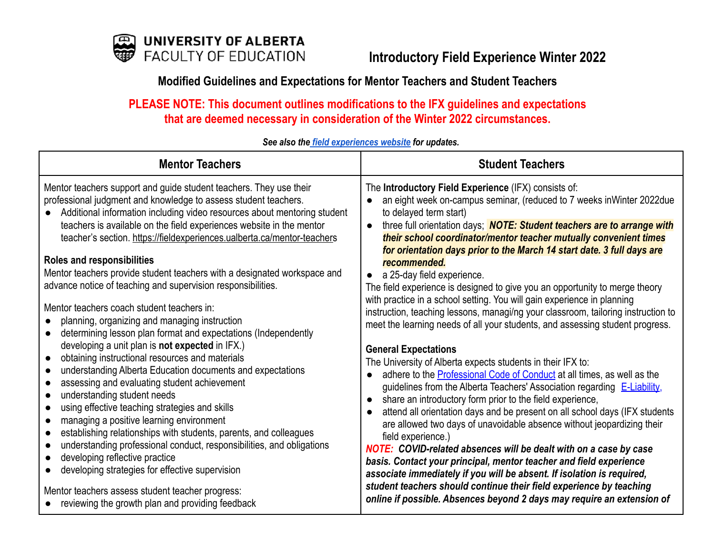

# **Modified Guidelines and Expectations for Mentor Teachers and Student Teachers**

**PLEASE NOTE: This document outlines modifications to the IFX guidelines and expectations that are deemed necessary in consideration of the Winter 2022 circumstances.**

# *See also the field [experiences](https://fieldexperiences.ualberta.ca/) website for updates.*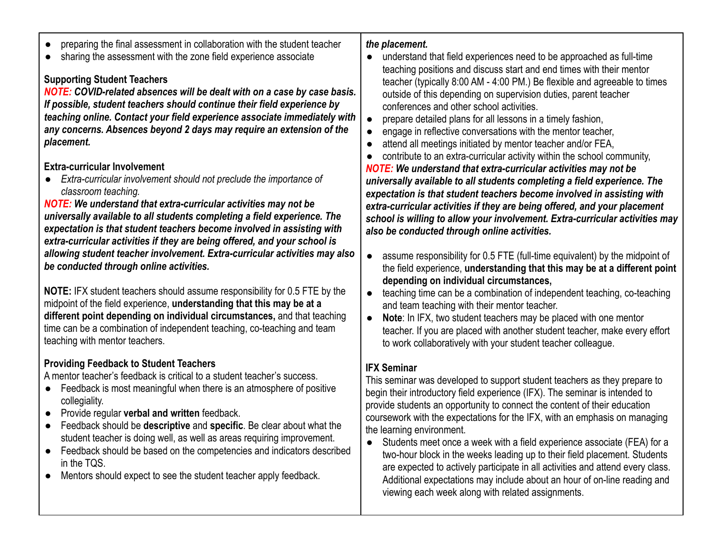- preparing the final assessment in collaboration with the student teacher
- sharing the assessment with the zone field experience associate

# **Supporting Student Teachers**

*NOTE: COVID-related absences will be dealt with on a case by case basis. If possible, student teachers should continue their field experience by teaching online. Contact your field experience associate immediately with any concerns. Absences beyond 2 days may require an extension of the placement.*

#### **Extra-curricular Involvement**

● *Extra-curricular involvement should not preclude the importance of classroom teaching.*

*NOTE: We understand that extra-curricular activities may not be universally available to all students completing a field experience. The expectation is that student teachers become involved in assisting with extra-curricular activities if they are being offered, and your school is allowing student teacher involvement. Extra-curricular activities may also be conducted through online activities.*

**NOTE:** IFX student teachers should assume responsibility for 0.5 FTE by the midpoint of the field experience, **understanding that this may be at a different point depending on individual circumstances,** and that teaching time can be a combination of independent teaching, co-teaching and team teaching with mentor teachers.

# **Providing Feedback to Student Teachers**

A mentor teacher's feedback is critical to a student teacher's success.

- Feedback is most meaningful when there is an atmosphere of positive collegiality.
- **Provide regular verbal and written feedback.**
- Feedback should be **descriptive** and **specific**. Be clear about what the student teacher is doing well, as well as areas requiring improvement.
- Feedback should be based on the competencies and indicators described in the TQS.
- Mentors should expect to see the student teacher apply feedback.

# *the placement.*

- understand that field experiences need to be approached as full-time teaching positions and discuss start and end times with their mentor teacher (typically 8:00 AM - 4:00 PM.) Be flexible and agreeable to times outside of this depending on supervision duties, parent teacher conferences and other school activities.
- prepare detailed plans for all lessons in a timely fashion,
- engage in reflective conversations with the mentor teacher,
- attend all meetings initiated by mentor teacher and/or FEA,
- contribute to an extra-curricular activity within the school community,

*NOTE: We understand that extra-curricular activities may not be universally available to all students completing a field experience. The expectation is that student teachers become involved in assisting with extra-curricular activities if they are being offered, and your placement school is willing to allow your involvement. Extra-curricular activities may also be conducted through online activities.*

- assume responsibility for 0.5 FTE (full-time equivalent) by the midpoint of the field experience, **understanding that this may be at a different point depending on individual circumstances,**
- teaching time can be a combination of independent teaching, co-teaching and team teaching with their mentor teacher.
- **Note**: In IFX, two student teachers may be placed with one mentor teacher. If you are placed with another student teacher, make every effort to work collaboratively with your student teacher colleague.

# **IFX Seminar**

This seminar was developed to support student teachers as they prepare to begin their introductory field experience (IFX). The seminar is intended to provide students an opportunity to connect the content of their education coursework with the expectations for the IFX, with an emphasis on managing the learning environment.

● Students meet once a week with a field experience associate (FEA) for a two-hour block in the weeks leading up to their field placement. Students are expected to actively participate in all activities and attend every class. Additional expectations may include about an hour of on-line reading and viewing each week along with related assignments.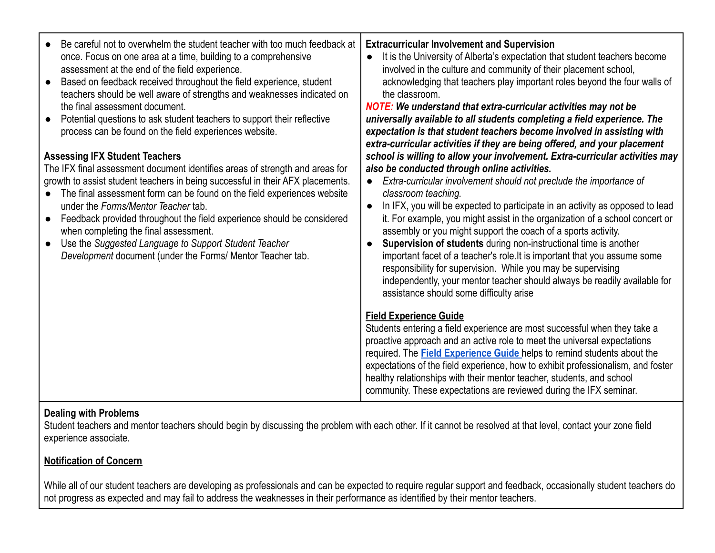| Be careful not to overwhelm the student teacher with too much feedback at<br>once. Focus on one area at a time, building to a comprehensive<br>assessment at the end of the field experience.<br>Based on feedback received throughout the field experience, student<br>$\bullet$<br>teachers should be well aware of strengths and weaknesses indicated on<br>the final assessment document.<br>Potential questions to ask student teachers to support their reflective<br>process can be found on the field experiences website.<br><b>Assessing IFX Student Teachers</b><br>The IFX final assessment document identifies areas of strength and areas for<br>growth to assist student teachers in being successful in their AFX placements.<br>The final assessment form can be found on the field experiences website<br>under the Forms/Mentor Teacher tab.<br>Feedback provided throughout the field experience should be considered<br>when completing the final assessment.<br>Use the Suggested Language to Support Student Teacher<br>Development document (under the Forms/ Mentor Teacher tab. | <b>Extracurricular Involvement and Supervision</b><br>It is the University of Alberta's expectation that student teachers become<br>involved in the culture and community of their placement school,<br>acknowledging that teachers play important roles beyond the four walls of<br>the classroom.<br><b>NOTE:</b> We understand that extra-curricular activities may not be<br>universally available to all students completing a field experience. The<br>expectation is that student teachers become involved in assisting with<br>extra-curricular activities if they are being offered, and your placement<br>school is willing to allow your involvement. Extra-curricular activities may<br>also be conducted through online activities.<br>Extra-curricular involvement should not preclude the importance of<br>classroom teaching.<br>In IFX, you will be expected to participate in an activity as opposed to lead<br>$\bullet$<br>it. For example, you might assist in the organization of a school concert or<br>assembly or you might support the coach of a sports activity.<br>Supervision of students during non-instructional time is another<br>$\bullet$<br>important facet of a teacher's role. It is important that you assume some<br>responsibility for supervision. While you may be supervising<br>independently, your mentor teacher should always be readily available for<br>assistance should some difficulty arise |
|-----------------------------------------------------------------------------------------------------------------------------------------------------------------------------------------------------------------------------------------------------------------------------------------------------------------------------------------------------------------------------------------------------------------------------------------------------------------------------------------------------------------------------------------------------------------------------------------------------------------------------------------------------------------------------------------------------------------------------------------------------------------------------------------------------------------------------------------------------------------------------------------------------------------------------------------------------------------------------------------------------------------------------------------------------------------------------------------------------------|----------------------------------------------------------------------------------------------------------------------------------------------------------------------------------------------------------------------------------------------------------------------------------------------------------------------------------------------------------------------------------------------------------------------------------------------------------------------------------------------------------------------------------------------------------------------------------------------------------------------------------------------------------------------------------------------------------------------------------------------------------------------------------------------------------------------------------------------------------------------------------------------------------------------------------------------------------------------------------------------------------------------------------------------------------------------------------------------------------------------------------------------------------------------------------------------------------------------------------------------------------------------------------------------------------------------------------------------------------------------------------------------------------------------------------------------------|
|                                                                                                                                                                                                                                                                                                                                                                                                                                                                                                                                                                                                                                                                                                                                                                                                                                                                                                                                                                                                                                                                                                           | <b>Field Experience Guide</b><br>Students entering a field experience are most successful when they take a<br>proactive approach and an active role to meet the universal expectations<br>required. The <b>Field Experience Guide</b> helps to remind students about the<br>expectations of the field experience, how to exhibit professionalism, and foster<br>healthy relationships with their mentor teacher, students, and school<br>community. These expectations are reviewed during the IFX seminar.                                                                                                                                                                                                                                                                                                                                                                                                                                                                                                                                                                                                                                                                                                                                                                                                                                                                                                                                        |

#### **Dealing with Problems**

Student teachers and mentor teachers should begin by discussing the problem with each other. If it cannot be resolved at that level, contact your zone field experience associate.

# **[Notification of Concern](https://fieldexperiences.ualberta.ca/mentor-teachers#notification-of-concern)**

While all of our student teachers are developing as professionals and can be expected to require regular support and feedback, occasionally student teachers do not progress as expected and may fail to address the weaknesses in their performance as identified by their mentor teachers.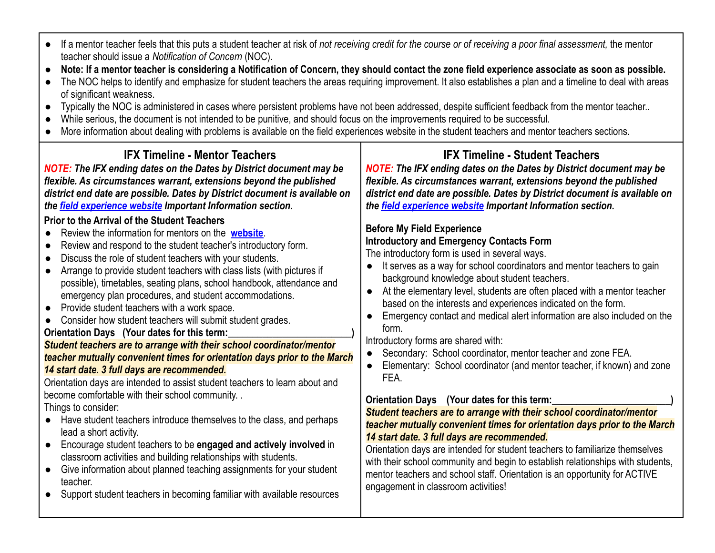- If a mentor teacher feels that this puts a student teacher at risk of *not receiving credit for the course or of receiving a poor final assessment,* the mentor teacher should issue a *Notification of Concern* (NOC).
- **Note: If a mentor teacher is considering a Notification of Concern, they should contact the zone field experience associate as soon as possible.**
- The NOC helps to identify and emphasize for student teachers the areas requiring improvement. It also establishes a plan and a timeline to deal with areas of significant weakness.
- Typically the NOC is administered in cases where persistent problems have not been addressed, despite sufficient feedback from the mentor teacher..
- While serious, the document is not intended to be punitive, and should focus on the improvements required to be successful.
- More information about dealing with problems is available on the field experiences website in the student teachers and mentor teachers sections.

#### **IFX Timeline - Mentor Teachers** *NOTE: The IFX ending dates on the Dates by District document may be flexible. As circumstances warrant, extensions beyond the published district end date are possible. Dates by District document is available on the [field experience website](https://fieldexperiences.ualberta.ca/) Important Information section.* **Prior to the Arrival of the Student Teachers** ● Review the information for mentors on the **[website](https://fieldexperiences.ualberta.ca/home/)**. ● Review and respond to the student teacher's introductory form. Discuss the role of student teachers with your students. ● Arrange to provide student teachers with class lists (with pictures if possible), timetables, seating plans, school handbook, attendance and emergency plan procedures, and student accommodations. ● Provide student teachers with a work space. ● Consider how student teachers will submit student grades. **Orientation Days** (Your dates for this term: *Student teachers are to arrange with their school coordinator/mentor teacher mutually convenient times for orientation days prior to the March 14 start date. 3 full days are recommended.* Orientation days are intended to assist student teachers to learn about and become comfortable with their school community. . Things to consider: ● Have student teachers introduce themselves to the class, and perhaps lead a short activity. ● Encourage student teachers to be **engaged and actively involved** in classroom activities and building relationships with students. ● Give information about planned teaching assignments for your student teacher. ● Support student teachers in becoming familiar with available resources **IFX Timeline - Student Teachers** *NOTE: The IFX ending dates on the Dates by District document may be flexible. As circumstances warrant, extensions beyond the published district end date are possible. Dates by District document is available on the [field experience website](https://fieldexperiences.ualberta.ca/) Important Information section.* **Before My Field Experience Introductory and Emergency Contacts Form** The introductory form is used in several ways. ● It serves as a way for school coordinators and mentor teachers to gain background knowledge about student teachers. ● At the elementary level, students are often placed with a mentor teacher based on the interests and experiences indicated on the form. ● Emergency contact and medical alert information are also included on the form. Introductory forms are shared with: Secondary: School coordinator, mentor teacher and zone FEA. ● Elementary: School coordinator (and mentor teacher, if known) and zone FEA. **Orientation Days** (Your dates for this term: *Student teachers are to arrange with their school coordinator/mentor teacher mutually convenient times for orientation days prior to the March 14 start date. 3 full days are recommended.* Orientation days are intended for student teachers to familiarize themselves with their school community and begin to establish relationships with students, mentor teachers and school staff. Orientation is an opportunity for ACTIVE engagement in classroom activities!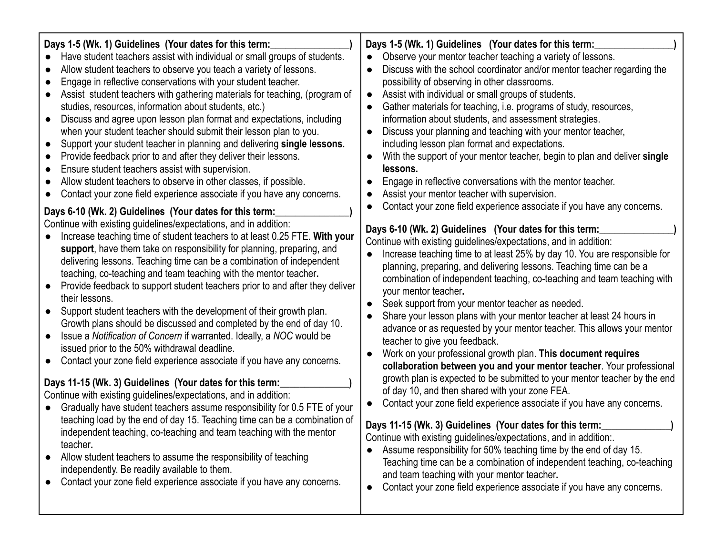| Days 1-5 (Wk. 1) Guidelines (Your dates for this term:<br>Have student teachers assist with individual or small groups of students.<br>Allow student teachers to observe you teach a variety of lessons.<br>Engage in reflective conservations with your student teacher.<br>Assist student teachers with gathering materials for teaching, (program of<br>studies, resources, information about students, etc.)<br>Discuss and agree upon lesson plan format and expectations, including<br>when your student teacher should submit their lesson plan to you.<br>Support your student teacher in planning and delivering single lessons.<br>Provide feedback prior to and after they deliver their lessons.<br>$\bullet$<br>Ensure student teachers assist with supervision.<br>$\bullet$<br>Allow student teachers to observe in other classes, if possible.<br>Contact your zone field experience associate if you have any concerns.<br>Days 6-10 (Wk. 2) Guidelines (Your dates for this term:<br>Continue with existing guidelines/expectations, and in addition:<br>Increase teaching time of student teachers to at least 0.25 FTE. With your<br>support, have them take on responsibility for planning, preparing, and<br>delivering lessons. Teaching time can be a combination of independent<br>teaching, co-teaching and team teaching with the mentor teacher.<br>Provide feedback to support student teachers prior to and after they deliver<br>$\bullet$<br>their lessons.<br>Support student teachers with the development of their growth plan.<br>$\bullet$<br>Growth plans should be discussed and completed by the end of day 10.<br>Issue a Notification of Concern if warranted. Ideally, a NOC would be<br>issued prior to the 50% withdrawal deadline.<br>Contact your zone field experience associate if you have any concerns.<br>Days 11-15 (Wk. 3) Guidelines (Your dates for this term:<br>Continue with existing guidelines/expectations, and in addition:<br>Gradually have student teachers assume responsibility for 0.5 FTE of your | Days 1-5 (Wk. 1) Guidelines (Your dates for this term:<br>Observe your mentor teacher teaching a variety of lessons.<br>$\bullet$<br>Discuss with the school coordinator and/or mentor teacher regarding the<br>$\bullet$<br>possibility of observing in other classrooms.<br>Assist with individual or small groups of students.<br>$\bullet$<br>Gather materials for teaching, i.e. programs of study, resources,<br>information about students, and assessment strategies.<br>Discuss your planning and teaching with your mentor teacher,<br>$\bullet$<br>including lesson plan format and expectations.<br>With the support of your mentor teacher, begin to plan and deliver single<br>lessons.<br>Engage in reflective conversations with the mentor teacher.<br>$\bullet$<br>Assist your mentor teacher with supervision.<br>$\bullet$<br>Contact your zone field experience associate if you have any concerns.<br>Days 6-10 (Wk. 2) Guidelines (Your dates for this term:<br>Continue with existing guidelines/expectations, and in addition:<br>Increase teaching time to at least 25% by day 10. You are responsible for<br>planning, preparing, and delivering lessons. Teaching time can be a<br>combination of independent teaching, co-teaching and team teaching with<br>your mentor teacher.<br>Seek support from your mentor teacher as needed.<br>Share your lesson plans with your mentor teacher at least 24 hours in<br>advance or as requested by your mentor teacher. This allows your mentor<br>teacher to give you feedback.<br>Work on your professional growth plan. This document requires<br>$\bullet$<br>collaboration between you and your mentor teacher. Your professional<br>growth plan is expected to be submitted to your mentor teacher by the end<br>of day 10, and then shared with your zone FEA.<br>Contact your zone field experience associate if you have any concerns. |
|-------------------------------------------------------------------------------------------------------------------------------------------------------------------------------------------------------------------------------------------------------------------------------------------------------------------------------------------------------------------------------------------------------------------------------------------------------------------------------------------------------------------------------------------------------------------------------------------------------------------------------------------------------------------------------------------------------------------------------------------------------------------------------------------------------------------------------------------------------------------------------------------------------------------------------------------------------------------------------------------------------------------------------------------------------------------------------------------------------------------------------------------------------------------------------------------------------------------------------------------------------------------------------------------------------------------------------------------------------------------------------------------------------------------------------------------------------------------------------------------------------------------------------------------------------------------------------------------------------------------------------------------------------------------------------------------------------------------------------------------------------------------------------------------------------------------------------------------------------------------------------------------------------------------------------------------------------------------------------------------------------------------------------------------------------------------------|------------------------------------------------------------------------------------------------------------------------------------------------------------------------------------------------------------------------------------------------------------------------------------------------------------------------------------------------------------------------------------------------------------------------------------------------------------------------------------------------------------------------------------------------------------------------------------------------------------------------------------------------------------------------------------------------------------------------------------------------------------------------------------------------------------------------------------------------------------------------------------------------------------------------------------------------------------------------------------------------------------------------------------------------------------------------------------------------------------------------------------------------------------------------------------------------------------------------------------------------------------------------------------------------------------------------------------------------------------------------------------------------------------------------------------------------------------------------------------------------------------------------------------------------------------------------------------------------------------------------------------------------------------------------------------------------------------------------------------------------------------------------------------------------------------------------------------------------------------------------------------------------------------------------|
| teaching load by the end of day 15. Teaching time can be a combination of                                                                                                                                                                                                                                                                                                                                                                                                                                                                                                                                                                                                                                                                                                                                                                                                                                                                                                                                                                                                                                                                                                                                                                                                                                                                                                                                                                                                                                                                                                                                                                                                                                                                                                                                                                                                                                                                                                                                                                                               | Days 11-15 (Wk. 3) Guidelines (Your dates for this term:                                                                                                                                                                                                                                                                                                                                                                                                                                                                                                                                                                                                                                                                                                                                                                                                                                                                                                                                                                                                                                                                                                                                                                                                                                                                                                                                                                                                                                                                                                                                                                                                                                                                                                                                                                                                                                                               |
| independent teaching, co-teaching and team teaching with the mentor                                                                                                                                                                                                                                                                                                                                                                                                                                                                                                                                                                                                                                                                                                                                                                                                                                                                                                                                                                                                                                                                                                                                                                                                                                                                                                                                                                                                                                                                                                                                                                                                                                                                                                                                                                                                                                                                                                                                                                                                     | Continue with existing guidelines/expectations, and in addition:.                                                                                                                                                                                                                                                                                                                                                                                                                                                                                                                                                                                                                                                                                                                                                                                                                                                                                                                                                                                                                                                                                                                                                                                                                                                                                                                                                                                                                                                                                                                                                                                                                                                                                                                                                                                                                                                      |
| teacher.                                                                                                                                                                                                                                                                                                                                                                                                                                                                                                                                                                                                                                                                                                                                                                                                                                                                                                                                                                                                                                                                                                                                                                                                                                                                                                                                                                                                                                                                                                                                                                                                                                                                                                                                                                                                                                                                                                                                                                                                                                                                | Assume responsibility for 50% teaching time by the end of day 15.                                                                                                                                                                                                                                                                                                                                                                                                                                                                                                                                                                                                                                                                                                                                                                                                                                                                                                                                                                                                                                                                                                                                                                                                                                                                                                                                                                                                                                                                                                                                                                                                                                                                                                                                                                                                                                                      |
| Allow student teachers to assume the responsibility of teaching                                                                                                                                                                                                                                                                                                                                                                                                                                                                                                                                                                                                                                                                                                                                                                                                                                                                                                                                                                                                                                                                                                                                                                                                                                                                                                                                                                                                                                                                                                                                                                                                                                                                                                                                                                                                                                                                                                                                                                                                         | Teaching time can be a combination of independent teaching, co-teaching                                                                                                                                                                                                                                                                                                                                                                                                                                                                                                                                                                                                                                                                                                                                                                                                                                                                                                                                                                                                                                                                                                                                                                                                                                                                                                                                                                                                                                                                                                                                                                                                                                                                                                                                                                                                                                                |
| independently. Be readily available to them.                                                                                                                                                                                                                                                                                                                                                                                                                                                                                                                                                                                                                                                                                                                                                                                                                                                                                                                                                                                                                                                                                                                                                                                                                                                                                                                                                                                                                                                                                                                                                                                                                                                                                                                                                                                                                                                                                                                                                                                                                            | and team teaching with your mentor teacher.                                                                                                                                                                                                                                                                                                                                                                                                                                                                                                                                                                                                                                                                                                                                                                                                                                                                                                                                                                                                                                                                                                                                                                                                                                                                                                                                                                                                                                                                                                                                                                                                                                                                                                                                                                                                                                                                            |
| Contact your zone field experience associate if you have any concerns.                                                                                                                                                                                                                                                                                                                                                                                                                                                                                                                                                                                                                                                                                                                                                                                                                                                                                                                                                                                                                                                                                                                                                                                                                                                                                                                                                                                                                                                                                                                                                                                                                                                                                                                                                                                                                                                                                                                                                                                                  | Contact your zone field experience associate if you have any concerns.                                                                                                                                                                                                                                                                                                                                                                                                                                                                                                                                                                                                                                                                                                                                                                                                                                                                                                                                                                                                                                                                                                                                                                                                                                                                                                                                                                                                                                                                                                                                                                                                                                                                                                                                                                                                                                                 |